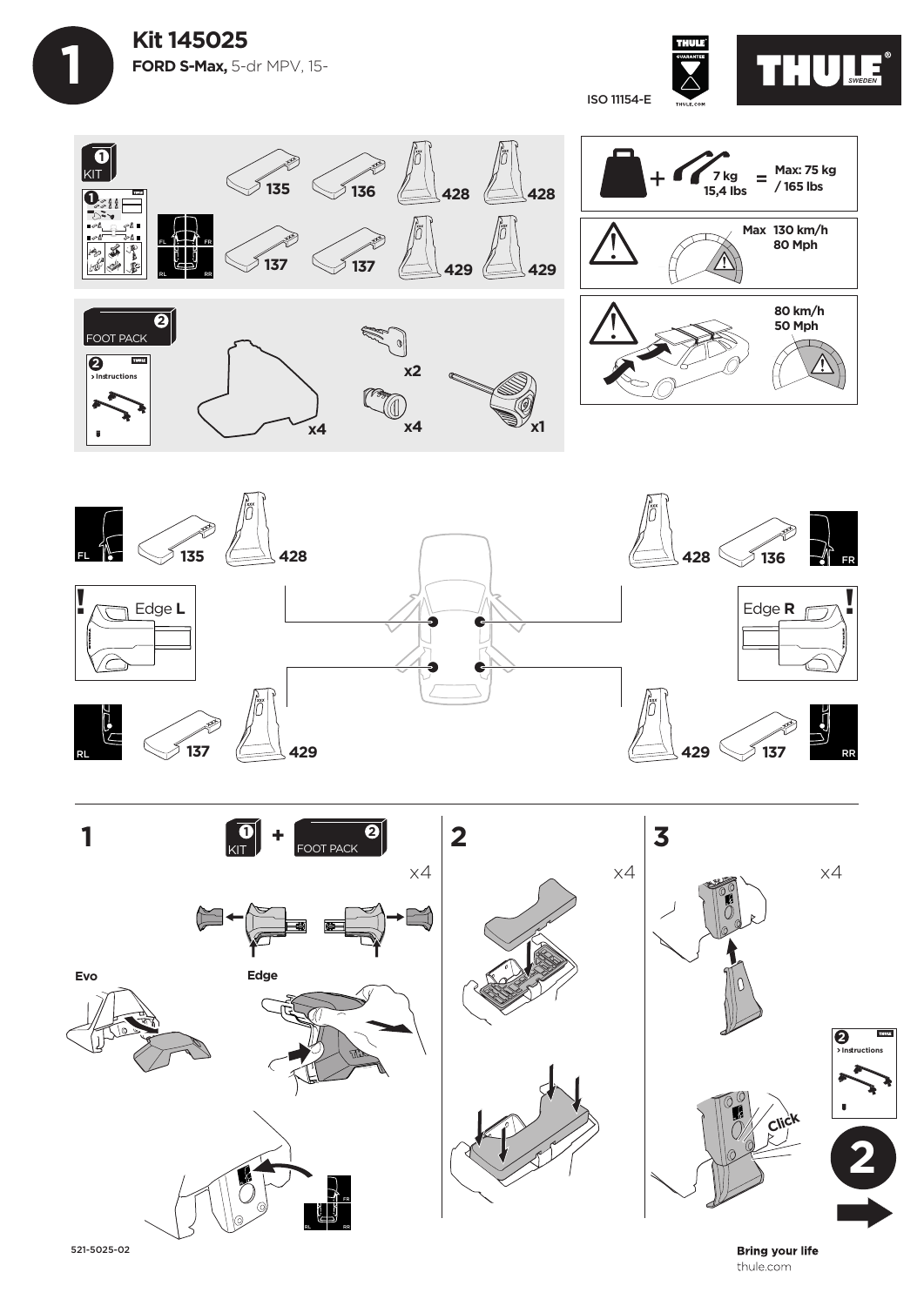



**135 136 428 428 1 Max: 75 kg**  KIT **7 kg**   $=$ **/ 165 lbs 15,4 Ibs** FL **1 Max 130 km/h 137 137** ۵Ā.  $\frac{4}{\sqrt{2}}$ **80 Mph** FL FR FR  $\overline{\mathbf{3}}$  $\sim$ **429 429** RL RR **80 km/h 2 50 Mph** FOOT PACK  $\overline{\mathbb{C}}$ **2 TOUR x2 Instructions Compare 34**  $x4$   $x4$   $x1$ 





521-5025-02

**Bring your life** thule.com